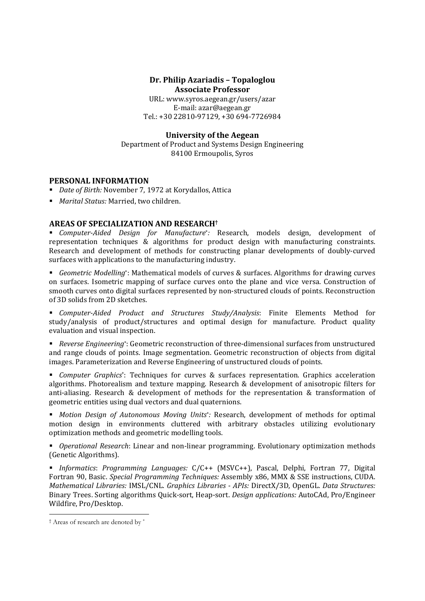# **Dr. Philip Azariadis – Topaloglou Associate Professor**

URL: www.syros.aegean.gr/users/azar E‐mail: azar@aegean.gr Tel.: +30 22810‐97129, +30 694‐7726984 

## **University of the Aegean**

Department of Product and Systems Design Engineering 84100 Ermoupolis, Syros

# **PERSONAL INFORMATION**

- *Date of Birth:* November 7, 1972 at Korydallos, Attica
- *Marital Status:* Married, two children.

# **AREAS OF SPECIALIZATION AND RESEARCH†**

■ *Computer-Aided Design for Manufacture<sup>\*</sup>:* Research, models design, development of representation techniques  $\&$  algorithms for product design with manufacturing constraints. Research and development of methods for constructing planar developments of doubly-curved surfaces with applications to the manufacturing industry.

**Geometric Modelling**\*: Mathematical models of curves & surfaces. Algorithms for drawing curves on surfaces. Isometric mapping of surface curves onto the plane and vice versa. Construction of smooth curves onto digital surfaces represented by non-structured clouds of points. Reconstruction of 3D solids from 2D sketches.

 *Computer‐Aided Product and Structures Study/Analysis*: Finite Elements Method for study/analysis of product/structures and optimal design for manufacture. Product quality evaluation and visual inspection.

■ *Reverse Engineering*<sup>\*</sup>: Geometric reconstruction of three-dimensional surfaces from unstructured and range clouds of points. Image segmentation. Geometric reconstruction of objects from digital images. Parameterization and Reverse Engineering of unstructured clouds of points.

**F** *Computer Graphics*<sup>\*</sup>: Techniques for curves & surfaces representation. Graphics acceleration algorithms. Photorealism and texture mapping. Research & development of anisotropic filters for anti-aliasing. Research & development of methods for the representation & transformation of geometric entities using dual vectors and dual quaternions.

 *Motion Design of Autonomous Moving Units*\**:* Research, development of methods for optimal motion design in environments cluttered with arbitrary obstacles utilizing evolutionary optimization methods and geometric modelling tools.

■ *Operational Research*: Linear and non-linear programming. Evolutionary optimization methods (Genetic Algorithms). 

 *Informatics*: *Programming Languages:* C/C++ (MSVC++), Pascal, Delphi, Fortran 77, Digital Fortran 90, Basic. *Special Programming Techniques:* Assembly x86, MMX & SSE instructions, CUDA. *Mathematical Libraries:* IMSL/CNL. *Graphics Libraries ‐ APIs:* DirectX/3D, OpenGL. *Data Structures:* Binary Trees. Sorting algorithms Quick‐sort, Heap‐sort. *Design applications:* AutoCAd, Pro/Engineer Wildfire, Pro/Desktop.

<sup>-</sup>† Areas of research are denoted by \*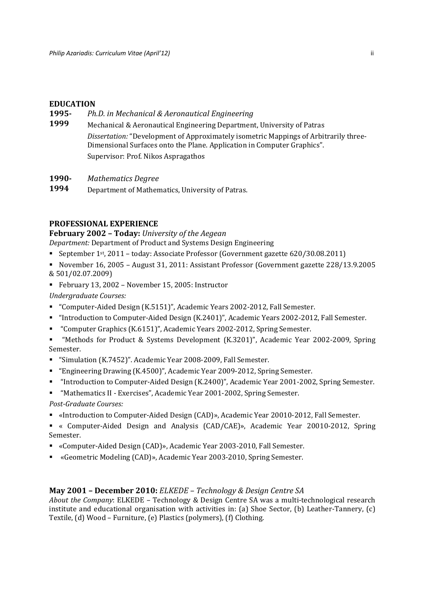## **EDUCATION**

- **1995‐** *Ph.D. in Mechanical & Aeronautical Engineering*
- **1999** Mechanical & Aeronautical Engineering Department, University of Patras Dissertation: "Development of Approximately isometric Mappings of Arbitrarily three-Dimensional Surfaces onto the Plane. Application in Computer Graphics". Supervisor: Prof. Nikos Aspragathos

**1990‐** *Mathematics Degree*

**1994** Department of Mathematics, University of Patras.

## **PROFESSIONAL EXPERIENCE**

**February 2002 – Today:** *University of the Aegean*

*Department:* Department of Product and Systems Design Engineering 

- September 1<sup>st</sup>, 2011 today: Associate Professor (Government gazette 620/30.08.2011)
- November 16, 2005 August 31, 2011: Assistant Professor (Government gazette 228/13.9.2005 & 501/02.07.2009)
- February 13, 2002 November 15, 2005: Instructor

*Undergraduate Courses:* 

- "Computer-Aided Design (K.5151)", Academic Years 2002-2012, Fall Semester.
- "Introduction to Computer-Aided Design (K.2401)", Academic Years 2002-2012, Fall Semester.
- "Computer Graphics (K.6151)", Academic Years 2002-2012, Spring Semester.

"Methods for Product & Systems Development (K.3201)", Academic Year 2002-2009, Spring Semester. 

- "Simulation (K.7452)". Academic Year 2008-2009, Fall Semester.
- "Engineering Drawing (K.4500)", Academic Year 2009-2012, Spring Semester.
- "Introduction to Computer-Aided Design (K.2400)", Academic Year 2001-2002, Spring Semester.
- "Mathematics II Exercises", Academic Year 2001-2002, Spring Semester.

*Post‐Graduate Courses:*

- «Introduction to Computer-Aided Design (CAD)», Academic Year 20010-2012, Fall Semester.
- « Computer-Aided Design and Analysis (CAD/CAE)», Academic Year 20010-2012, Spring Semester.
- «Computer-Aided Design (CAD)», Academic Year 2003-2010, Fall Semester.
- «Geometric Modeling (CAD)», Academic Year 2003-2010, Spring Semester.

## **May 2001 – December 2010:** *ELKEDE – Technology & Design Centre SA*

*About the Company*: ELKEDE – Technology & Design Centre SA was a multi-technological research institute and educational organisation with activities in: (a) Shoe Sector, (b) Leather-Tannery,  $(c)$ Textile, (d) Wood - Furniture, (e) Plastics (polymers), (f) Clothing.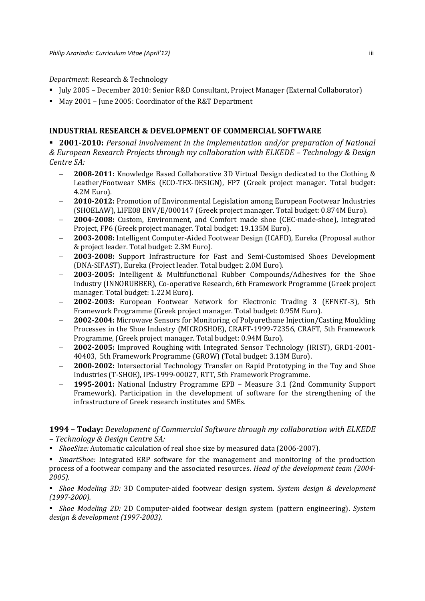### *Department:* Research & Technology

- Ully 2005 December 2010: Senior R&D Consultant, Project Manager (External Collaborator)
- May 2001 June 2005: Coordinator of the R&T Department

## **INDUSTRIAL RESEARCH & DEVELOPMENT OF COMMERCIAL SOFTWARE**

 **2001‐2010:** *Personal involvement in the implementation and/or preparation of National & European Research Projects through my collaboration with ELKEDE – Technology & Design Centre SA:*

- **2008-2011:** Knowledge Based Collaborative 3D Virtual Design dedicated to the Clothing & Leather/Footwear SMEs (ECO-TEX-DESIGN), FP7 (Greek project manager. Total budget: 4.2Μ Euro).
- **2010**-2012: Promotion of Environmental Legislation among European Footwear Industries (SHOELAW), LIFE08 ENV/E/000147 (Greek project manager. Total budget: 0.874M Euro).
- **2004-2008:** Custom, Environment, and Comfort made shoe (CEC-made-shoe), Integrated Project, FP6 (Greek project manager. Total budget: 19.135M Euro).
- **2003‐2008:** Intelligent Computer‐Aided Footwear Design (ICAFD), Eureka (Proposal author & project leader. Total budget: 2.3M Euro).
- **2003‐2008:** Support Infrastructure for Fast and Semi‐Customised Shoes Development (DNA-SIFAST), Eureka (Project leader. Total budget: 2.0M Euro).
- **2003-2005:** Intelligent & Multifunctional Rubber Compounds/Adhesives for the Shoe Industry (INNORUBBER), Co-operative Research, 6th Framework Programme (Greek project manager. Total budget: 1.22M Euro).
- **2002‐2003:** European Footwear Network for Electronic Trading 3 (EFNET‐3), 5th Framework Programme (Greek project manager. Total budget: 0.95M Euro).
- **2002-2004:** Microwave Sensors for Monitoring of Polyurethane Injection/Casting Moulding Processes in the Shoe Industry (MICROSHOE), CRAFT-1999-72356, CRAFT, 5th Framework Programme, (Greek project manager. Total budget: 0.94M Euro).
- **2002‐2005:** Improved Roughing with Integrated Sensor Technology (IRIST), GRD1‐2001‐ 40403. 5th Framework Programme (GROW) (Total budget: 3.13M Euro).
- **2000-2002:** Intersectorial Technology Transfer on Rapid Prototyping in the Toy and Shoe Industries (T-SHOE), IPS-1999-00027, RTT, 5th Framework Programme.
- **1995-2001:** National Industry Programme EPB Measure 3.1 (2nd Community Support Framework). Participation in the development of software for the strengthening of the infrastructure of Greek research institutes and SMEs.

## **1994 – Today:** *Development of Commercial Software through my collaboration with ELKEDE – Technology & Design Centre SA:*

- **ShoeSize:** Automatic calculation of real shoe size by measured data (2006-2007).
- **SmartShoe:** Integrated ERP software for the management and monitoring of the production process of a footwear company and the associated resources. *Head of the development team (2004‐ 2005).*

■ *Shoe Modeling 3D:* 3D Computer-aided footwear design system. *System design & development (1997‐2000).*

■ *Shoe Modeling 2D:* 2D Computer-aided footwear design system (pattern engineering). *System design & development (1997‐2003).*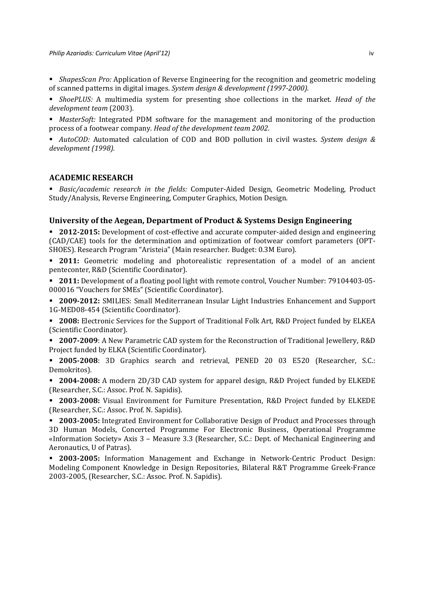**•** ShapesScan Pro: Application of Reverse Engineering for the recognition and geometric modeling of scanned patterns in digital images. *System design & development (1997‐2000).*

**F** ShoePLUS: A multimedia system for presenting shoe collections in the market. Head of the *development team* (2003). 

**MasterSoft:** Integrated PDM software for the management and monitoring of the production process of a footwear company. *Head of the development team 2002.*

 *AutoCOD:* Automated calculation of COD and BOD pollution in civil wastes. *System design & development (1998).*

## **ACADEMIC RESEARCH**

 *Basic/academic research in the fields:* Computer‐Aided Design, Geometric Modeling, Product Study/Analysis, Reverse Engineering, Computer Graphics, Motion Design.

#### **University of the Aegean, Department of Product & Systems Design Engineering**

■ **2012-2015:** Development of cost-effective and accurate computer-aided design and engineering (CAD/CAE) tools for the determination and optimization of footwear comfort parameters (OPT-SHOES). Research Program "Aristeia" (Main researcher. Budget: 0.3M Euro).

**2011:** Geometric modeling and photorealistic representation of a model of an ancient penteconter, R&D (Scientific Coordinator).

**2011:** Development of a floating pool light with remote control, Voucher Number: 79104403-05-000016 "Vouchers for SMEs" (Scientific Coordinator).

**2009-2012:** SMILIES: Small Mediterranean Insular Light Industries Enhancement and Support 1G-MED08-454 (Scientific Coordinator).

**2008:** Electronic Services for the Support of Traditional Folk Art, R&D Project funded by ELKEA (Scientific Coordinator).

**2007-2009**: A New Parametric CAD system for the Reconstruction of Traditional Jewellery, R&D Project funded by ELKA (Scientific Coordinator).

 **2005‐2008**: 3D Graphics search and retrieval, PENED 20 03 E520 (Researcher, S.C.: Demokritos). 

**2004-2008:** A modern 2D/3D CAD system for apparel design, R&D Project funded by ELKEDE (Researcher, S.C.: Assoc. Prof. N. Sapidis).

**2003-2008:** Visual Environment for Furniture Presentation, R&D Project funded by ELKEDE (Researcher, S.C.: Assoc. Prof. N. Sapidis).

**2003-2005:** Integrated Environment for Collaborative Design of Product and Processes through 3D Human Models, Concerted Programme For Electronic Business, Operational Programme «Information Society» Axis 3 - Measure 3.3 (Researcher, S.C.: Dept. of Mechanical Engineering and Aeronautics, U of Patras).

■ **2003-2005:** Information Management and Exchange in Network-Centric Product Design: Modeling Component Knowledge in Design Repositories, Bilateral R&T Programme Greek-France 2003-2005, (Researcher, S.C.: Assoc. Prof. N. Sapidis).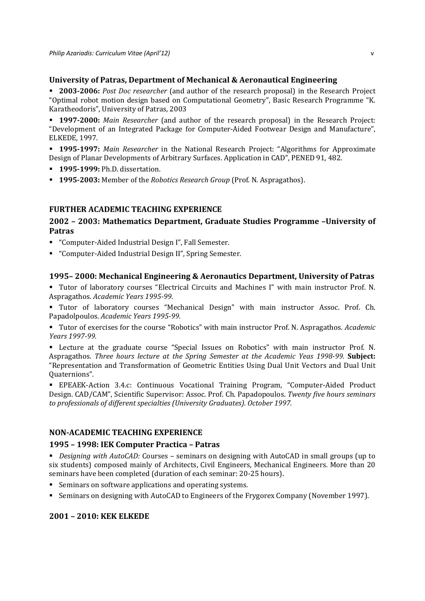## **University of Patras, Department of Mechanical & Aeronautical Engineering**

**2003-2006:** *Post Doc researcher* (and author of the research proposal) in the Research Project "Optimal robot motion design based on Computational Geometry", Basic Research Programme "K. Karatheodoris", University of Patras, 2003

**1997-2000:** *Main Researcher* (and author of the research proposal) in the Research Project: "Development of an Integrated Package for Computer-Aided Footwear Design and Manufacture", **ELKEDE, 1997.** 

**1995-1997:** Main Researcher in the National Research Project: "Algorithms for Approximate Design of Planar Developments of Arbitrary Surfaces. Application in CAD", PENED 91, 482.

- **1995‐1999:** Ph.D. dissertation.
- **1995-2003:** Member of the *Robotics Research Group* (Prof. N. Aspragathos).

## **FURTHER ACADEMIC TEACHING EXPERIENCE**

# **2002 – 2003: Mathematics Department, Graduate Studies Programme –University of Patras**

- "Computer-Aided Industrial Design I", Fall Semester.
- "Computer-Aided Industrial Design II", Spring Semester.

### **1995– 2000: Mechanical Engineering & Aeronautics Department, University of Patras**

■ Tutor of laboratory courses "Electrical Circuits and Machines I" with main instructor Prof. N. Aspragathos. *Academic Years 1995‐99.*

**Tutor** of laboratory courses "Mechanical Design" with main instructor Assoc. Prof. Ch. Papadolpoulos. *Academic Years 1995‐99.*

Tutor of exercises for the course "Robotics" with main instructor Prof. N. Aspragathos. *Academic Years 1997‐99.*

■ Lecture at the graduate course "Special Issues on Robotics" with main instructor Prof. N. Aspragathos. *Three hours lecture at the Spring Semester at the Academic Yeas 1998‐99.* **Subject:** "Representation and Transformation of Geometric Entities Using Dual Unit Vectors and Dual Unit Quaternions". 

■ EPEAEK-Action 3.4.c: Continuous Vocational Training Program, "Computer-Aided Product Design. CAD/CAM", Scientific Supervisor: Assoc. Prof. Ch. Papadopoulos. *Twenty five hours seminars to professionals of different specialties (University Graduates). October 1997.*

## **NON‐ACADEMIC TEACHING EXPERIENCE**

## **1995 – 1998: ΙΕΚ Computer Practica – Patras**

**Pesigning** with *AutoCAD*: Courses – seminars on designing with AutoCAD in small groups (up to six students) composed mainly of Architects, Civil Engineers, Mechanical Engineers. More than 20 seminars have been completed (duration of each seminar: 20-25 hours).

- Seminars on software applications and operating systems.
- Seminars on designing with AutoCAD to Engineers of the Frygorex Company (November 1997).

## **2001 – 2010: KEK ELKEDE**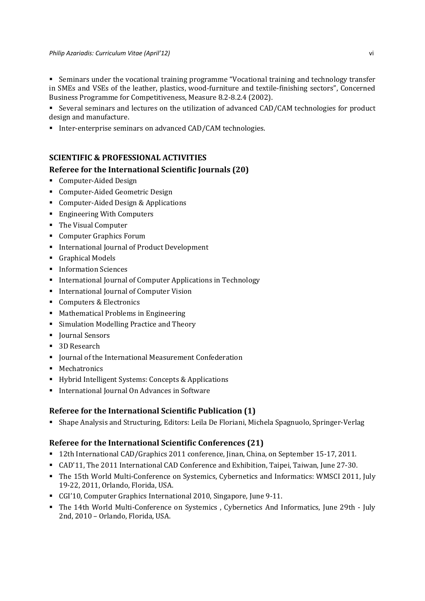#### *Philip Azariadis: Curriculum Vitae (April'12)* vi

• Seminars under the vocational training programme "Vocational training and technology transfer in SMEs and VSEs of the leather, plastics, wood-furniture and textile-finishing sectors", Concerned Business Programme for Competitiveness, Measure 8.2-8.2.4 (2002).

Several seminars and lectures on the utilization of advanced CAD/CAM technologies for product design and manufacture.

■ Inter-enterprise seminars on advanced CAD/CAM technologies.

# **SCIENTIFIC & PROFESSIONAL ACTIVITIES**

# **Referee for the International Scientific Journals (20)**

- Computer-Aided Design
- Computer-Aided Geometric Design
- Computer-Aided Design & Applications
- Engineering With Computers
- The Visual Computer
- Computer Graphics Forum
- International Journal of Product Development
- **Graphical Models**
- **Information Sciences**
- International Iournal of Computer Applications in Technology
- **International Journal of Computer Vision**
- Computers & Electronics
- Mathematical Problems in Engineering
- Simulation Modelling Practice and Theory
- Journal Sensors
- 3D Research
- Iournal of the International Measurement Confederation
- **Mechatronics**
- Hybrid Intelligent Systems: Concepts & Applications
- International Journal On Advances in Software

# **Referee for the International Scientific Publication (1)**

■ Shape Analysis and Structuring, Editors: Leila De Floriani, Michela Spagnuolo, Springer-Verlag

# **Referee for the International Scientific Conferences (21)**

- 12th International CAD/Graphics 2011 conference, Jinan, China, on September 15-17, 2011.
- CAD'11, The 2011 International CAD Conference and Exhibition, Taipei, Taiwan, June 27-30.
- The 15th World Multi-Conference on Systemics, Cybernetics and Informatics: WMSCI 2011, July 19-22, 2011, Orlando, Florida, USA.
- CGI'10, Computer Graphics International 2010, Singapore, June 9-11.
- The 14th World Multi-Conference on Systemics , Cybernetics And Informatics, June 29th July 2nd, 2010 - Orlando, Florida, USA.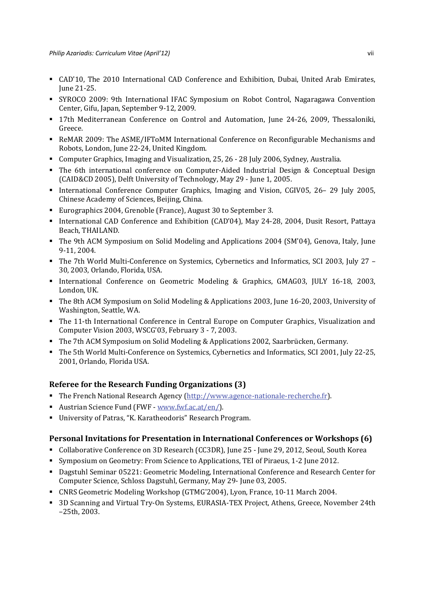- CAD'10, The 2010 International CAD Conference and Exhibition, Dubai, United Arab Emirates, June 21‐25.
- SYROCO 2009: 9th International IFAC Symposium on Robot Control, Nagaragawa Convention Center, Gifu, Japan, September 9-12, 2009.
- 17th Mediterranean Conference on Control and Automation, June 24-26, 2009, Thessaloniki, Greece.
- ReMAR 2009: The ASME/IFToMM International Conference on Reconfigurable Mechanisms and Robots, London, June 22-24, United Kingdom.
- Computer Graphics, Imaging and Visualization, 25, 26 28 July 2006, Sydney, Australia.
- The 6th international conference on Computer-Aided Industrial Design & Conceptual Design (CAID&CD 2005), Delft University of Technology, May 29 - June 1, 2005.
- International Conference Computer Graphics, Imaging and Vision, CGIV05, 26– 29 July 2005, Chinese Academy of Sciences, Beijing, China.
- Eurographics 2004, Grenoble (France), August 30 to September 3.
- International CAD Conference and Exhibition (CAD'04), May 24-28, 2004, Dusit Resort, Pattaya Beach, THAILAND.
- The 9th ACM Symposium on Solid Modeling and Applications 2004 (SM'04), Genova, Italy, June 9-11, 2004.
- The 7th World Multi-Conference on Systemics, Cybernetics and Informatics, SCI 2003, July 27 -30, 2003, Orlando, Florida, USA.
- International Conference on Geometric Modeling & Graphics, GMAG03, JULY 16-18, 2003, London, UK.
- The 8th ACM Symposium on Solid Modeling & Applications 2003, June 16-20, 2003, University of Washington, Seattle, WA.
- The 11-th International Conference in Central Europe on Computer Graphics, Visualization and Computer Vision 2003, WSCG'03, February 3 - 7, 2003.
- The 7th ACM Symposium on Solid Modeling & Applications 2002, Saarbrücken, Germany.
- The 5th World Multi-Conference on Systemics, Cybernetics and Informatics, SCI 2001, July 22-25, 2001, Orlando, Florida USA.

## **Referee for the Research Funding Organizations (3)**

- The French National Research Agency (http://www.agence-nationale-recherche.fr).
- Austrian Science Fund (FWF www.fwf.ac.at/en/).
- University of Patras, "K. Karatheodoris" Research Program.

## **Personal Invitations for Presentation in International Conferences or Workshops (6)**

- Collaborative Conference on 3D Research (CC3DR), June 25 June 29, 2012, Seoul, South Korea
- Symposium on Geometry: From Science to Applications, TEI of Piraeus, 1-2 June 2012.
- **Dagstuhl Seminar 05221: Geometric Modeling, International Conference and Research Center for** Computer Science, Schloss Dagstuhl, Germany, May 29- June 03, 2005.
- CNRS Geometric Modeling Workshop (GTMG'2004), Lyon, France, 10-11 March 2004.
- 3D Scanning and Virtual Try-On Systems, EURASIA-TEX Project, Athens, Greece, November 24th  $-25th$ , 2003.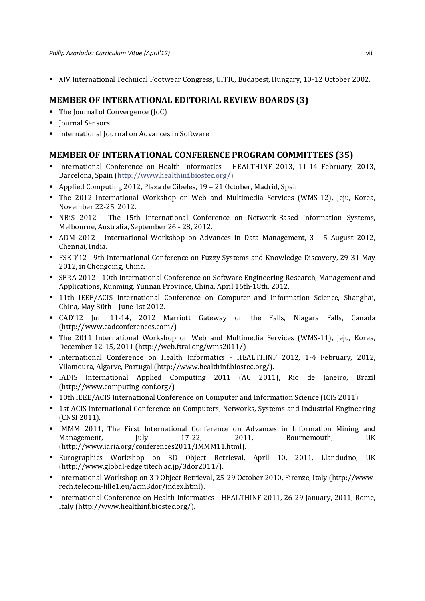■ XIV International Technical Footwear Congress, UITIC, Budapest, Hungary, 10-12 October 2002.

# **MEMBER OF INTERNATIONAL EDITORIAL REVIEW BOARDS (3)**

- The Journal of Convergence (JoC)
- **I** Journal Sensors
- International Iournal on Advances in Software

# **MEMBER OF INTERNATIONAL CONFERENCE PROGRAM COMMITTEES (35)**

- International Conference on Health Informatics HEALTHINF 2013, 11-14 February, 2013, Barcelona, Spain (http://www.healthinf.biostec.org/).
- Applied Computing 2012, Plaza de Cibeles,  $19 21$  October, Madrid, Spain.
- The 2012 International Workshop on Web and Multimedia Services (WMS-12), Jeju, Korea, November 22-25, 2012.
- NBiS 2012 The 15th International Conference on Network-Based Information Systems, Melbourne, Australia, September 26 - 28, 2012.
- ADM 2012 International Workshop on Advances in Data Management, 3 5 August 2012, Chennai, India.
- FSKD'12 9th International Conference on Fuzzy Systems and Knowledge Discovery, 29-31 May 2012, in Chongqing, China.
- SERA 2012 10th International Conference on Software Engineering Research, Management and Applications, Kunming, Yunnan Province, China, April 16th-18th, 2012.
- **11th IEEE/ACIS International Conference on Computer and Information Science, Shanghai,** China, May 30th - June 1st 2012.
- CAD'12 Jun 11-14, 2012 Marriott Gateway on the Falls, Niagara Falls, Canada (http://www.cadconferences.com/)
- The 2011 International Workshop on Web and Multimedia Services (WMS-11), Jeju, Korea, December 12-15, 2011 (http://web.ftrai.org/wms2011/)
- International Conference on Health Informatics HEALTHINF 2012, 1-4 February, 2012, Vilamoura, Algarve, Portugal (http://www.healthinf.biostec.org/).
- IADIS International Applied Computing 2011 (AC 2011), Rio de Janeiro, Brazil (http://www.computing‐conf.org/)
- **10th IEEE/ACIS International Conference on Computer and Information Science (ICIS 2011).**
- **1st ACIS International Conference on Computers, Networks, Systems and Industrial Engineering** (CNSI 2011).
- IMMM 2011, The First International Conference on Advances in Information Mining and Management, July 17-22, 2011, Bournemouth, UK (http://www.iaria.org/conferences2011/IMMM11.html).
- Eurographics Workshop on 3D Object Retrieval, April 10, 2011, Llandudno, UK (http://www.global‐edge.titech.ac.jp/3dor2011/).
- International Workshop on 3D Object Retrieval, 25-29 October 2010, Firenze, Italy (http://wwwrech.telecom‐lille1.eu/acm3dor/index.html).
- International Conference on Health Informatics HEALTHINF 2011, 26-29 Ianuary, 2011, Rome, Italy (http://www.healthinf.biostec.org/).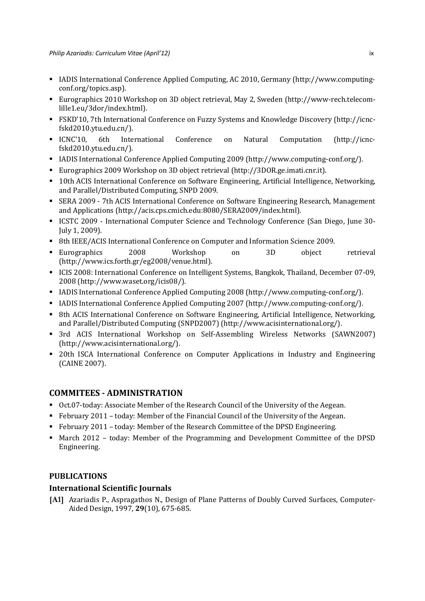- IADIS International Conference Applied Computing, AC 2010, Germany (http://www.computingconf.org/topics.asp).
- Eurographics 2010 Workshop on 3D object retrieval, May 2, Sweden (http://www-rech.telecomlille1.eu/3dor/index.html).
- FSKD'10, 7th International Conference on Fuzzy Systems and Knowledge Discovery (http://icncfskd2010.ytu.edu.cn/).
- ICNC'10, 6th International Conference on Natural Computation (http://icncfskd2010.ytu.edu.cn/).
- IADIS International Conference Applied Computing 2009 (http://www.computing-conf.org/).
- **Eurographics 2009 Workshop on 3D object retrieval (http://3DOR.ge.imati.cnr.it).**
- **10th ACIS International Conference on Software Engineering, Artificial Intelligence, Networking,** and Parallel/Distributed Computing, SNPD 2009.
- SERA 2009 7th ACIS International Conference on Software Engineering Research, Management and Applications (http://acis.cps.cmich.edu:8080/SERA2009/index.html).
- ICSTC 2009 International Computer Science and Technology Conference (San Diego, June 30-July 1, 2009).
- 8th IEEE/ACIS International Conference on Computer and Information Science 2009.
- Eurographics 2008 Workshop on 3D object retrieval (http://www.ics.forth.gr/eg2008/venue.html).
- ICIS 2008: International Conference on Intelligent Systems, Bangkok, Thailand, December 07-09, 2008 (http://www.waset.org/icis08/).
- IADIS International Conference Applied Computing 2008 (http://www.computing-conf.org/).
- IADIS International Conference Applied Computing 2007 (http://www.computing-conf.org/).
- **8th ACIS International Conference on Software Engineering, Artificial Intelligence, Networking,** and Parallel/Distributed Computing (SNPD2007) (http://www.acisinternational.org/).
- 3rd ACIS International Workshop on Self-Assembling Wireless Networks (SAWN2007) (http://www.acisinternational.org/).
- **•** 20th ISCA International Conference on Computer Applications in Industry and Engineering (CAINE 2007).

# **COMMITEES ‐ ADMINISTRATION**

- Oct.07-today: Associate Member of the Research Council of the University of the Aegean.
- February 2011 today: Member of the Financial Council of the University of the Aegean.
- February  $2011$  today: Member of the Research Committee of the DPSD Engineering.
- If March 2012 today: Member of the Programming and Development Committee of the DPSD Engineering.

# **PUBLICATIONS**

## **International Scientific Journals**

**[A1]** Azariadis P., Aspragathos N., Design of Plane Patterns of Doubly Curved Surfaces, Computer-Aided Design, 1997, 29(10), 675-685.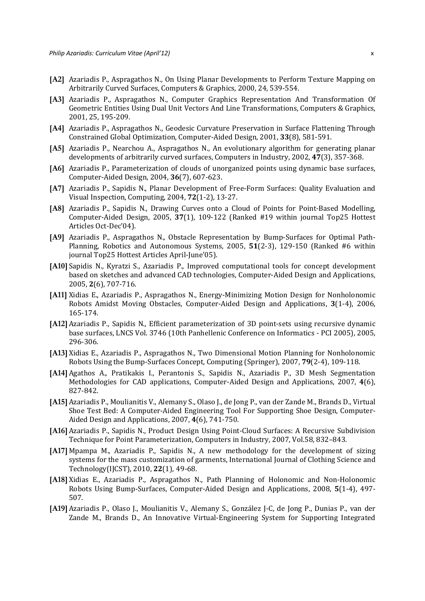- **[A2]** Azariadis P., Aspragathos N., On Using Planar Developments to Perform Texture Mapping on Arbitrarily Curved Surfaces, Computers & Graphics, 2000, 24, 539-554.
- **[Α3]** Azariadis P., Aspragathos N., Computer Graphics Representation And Transformation Of Geometric Entities Using Dual Unit Vectors And Line Transformations, Computers & Graphics, 2001, 25, 195‐209.
- **[A4]** Azariadis P., Aspragathos N., Geodesic Curvature Preservation in Surface Flattening Through Constrained Global Optimization, Computer-Aided Design, 2001, 33(8), 581-591.
- **[A5]** Azariadis P., Nearchou A., Aspragathos N., An evolutionary algorithm for generating planar developments of arbitrarily curved surfaces, Computers in Industry, 2002, 47(3), 357-368.
- **[A6]** Azariadis P., Parameterization of clouds of unorganized points using dynamic base surfaces, Computer‐Aided Design, 2004, **36**(7), 607‐623.
- **[A<sub>7</sub>]** Azariadis P., Sapidis N., Planar Development of Free-Form Surfaces: Quality Evaluation and Visual Inspection, Computing, 2004, **72**(1‐2), 13‐27.
- **[A8]** Azariadis P., Sapidis N., Drawing Curves onto a Cloud of Points for Point-Based Modelling, Computer-Aided Design, 2005, 37(1), 109-122 (Ranked #19 within journal Top25 Hottest Articles Oct‐Dec'04).
- **[A9]** Azariadis P., Aspragathos N., Obstacle Representation by Bump-Surfaces for Optimal Path– Planning, Robotics and Autonomous Systems, 2005, 51(2-3), 129-150 (Ranked #6 within journal Top25 Hottest Articles April-June'05).
- **[A<sub>10</sub>]** Sapidis N., Kyratzi S., Azariadis P., Improved computational tools for concept development based on sketches and advanced CAD technologies, Computer-Aided Design and Applications, 2005, **2**(6), 707‐716.
- **[A11]** Xidias E., Azariadis P., Aspragathos N., Energy-Minimizing Motion Design for Nonholonomic Robots Amidst Moving Obstacles, Computer-Aided Design and Applications, 3(1-4), 2006, 165‐174.
- **[A<sub>12]</sub>** Azariadis P., Sapidis N., Efficient parameterization of 3D point-sets using recursive dynamic base surfaces, LNCS Vol. 3746 (10th Panhellenic Conference on Informatics - PCI 2005), 2005, 296‐306.
- **[A13]** Xidias E., Azariadis P., Aspragathos N., Two Dimensional Motion Planning for Nonholonomic Robots Using the Bump-Surfaces Concept, Computing (Springer), 2007, 79(2-4), 109-118.
- **[A<sub>14]</sub>** Agathos A., Pratikakis I., Perantonis S., Sapidis N., Azariadis P., 3D Mesh Segmentation Methodologies for CAD applications, Computer-Aided Design and Applications, 2007, 4(6), 827‐842.
- [A15] Azariadis P., Moulianitis V., Alemany S., Olaso J., de Jong P., van der Zande M., Brands D., Virtual Shoe Test Bed: A Computer-Aided Engineering Tool For Supporting Shoe Design, Computer-Aided Design and Applications, 2007, **4**(6), 741‐750.
- **[Α16]**Azariadis P., Sapidis N., Product Design Using Point‐Cloud Surfaces: A Recursive Subdivision Technique for Point Parameterization, Computers in Industry, 2007, Vol.58, 832-843.
- **[Α17]**Mpampa M., Azariadis P., Sapidis N., A new methodology for the development of sizing systems for the mass customization of garments, International Journal of Clothing Science and Technology(IJCST), 2010, 22(1), 49-68.
- **[A18]** Xidias E., Azariadis P., Aspragathos N., Path Planning of Holonomic and Non-Holonomic Robots Using Bump-Surfaces, Computer-Aided Design and Applications, 2008, **5**(1-4), 497– 507.
- **[A19]** Azariadis P., Olaso J., Moulianitis V., Alemany S., González J-C, de Jong P., Dunias P., van der Zande M., Brands D., An Innovative Virtual-Engineering System for Supporting Integrated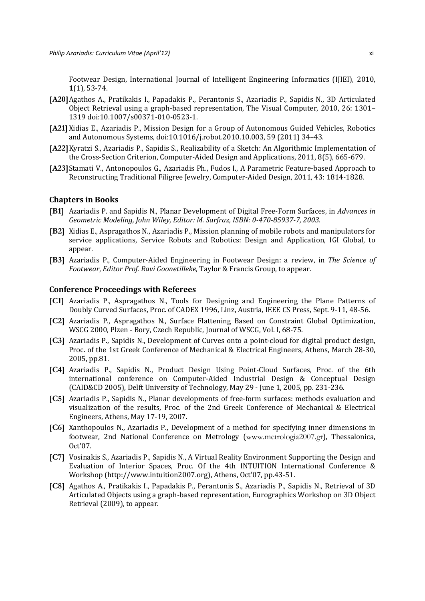Footwear Design, International Journal of Intelligent Engineering Informatics (IJIEI), 2010,  $1(1)$ , 53-74.

- **[Α20]**Agathos A., Pratikakis I., Papadakis P., Perantonis S., Azariadis P., Sapidis N., 3D Articulated Object Retrieval using a graph-based representation, The Visual Computer,  $2010$ ,  $26: 1301$ – 1319 doi:10.1007/s00371‐010‐0523‐1.
- **[Α21]**Xidias E., Azariadis P., Mission Design for a Group of Autonomous Guided Vehicles, Robotics and Autonomous Systems, doi:10.1016/j.robot.2010.10.003, 59 (2011) 34-43.
- **[Α22]**Kyratzi S., Azariadis P., Sapidis S., Realizability of a Sketch: An Algorithmic Implementation of the Cross-Section Criterion, Computer-Aided Design and Applications, 2011, 8(5), 665-679.
- **[Α23]**Stamati V., Antonopoulos G., Azariadis Ph., Fudos I., A Parametric Feature‐based Approach to Reconstructing Traditional Filigree Jewelry, Computer-Aided Design, 2011, 43: 1814-1828.

## **Chapters in Books**

- **[B1]** Azariadis P. and Sapidis N., Planar Development of Digital Free-Form Surfaces, in *Advances* in *Geometric Modeling, John Wiley, Editor: M. Sarfraz, ISBN: 0‐470‐85937‐7, 2003.*
- **[B2]** Xidias E., Aspragathos N., Azariadis P., Mission planning of mobile robots and manipulators for service applications, Service Robots and Robotics: Design and Application, IGI Global, to appear.
- **[B3]** Azariadis P., Computer‐Aided Engineering in Footwear Design: a review, in *The Science of Footwear*, *Editor Prof. Ravi Goonetilleke*, Taylor & Francis Group, to appear.

## **Conference Proceedings with Referees**

- **[C1]** Azariadis P., Aspragathos N., Tools for Designing and Engineering the Plane Patterns of Doubly Curved Surfaces, Proc. of CADEX 1996, Linz, Austria, IEEE CS Press, Sept. 9-11, 48-56.
- **[C2]** Azariadis P., Aspragathos N., Surface Flattening Based on Constraint Global Optimization, WSCG 2000, Plzen - Bory, Czech Republic, Journal of WSCG, Vol. I, 68-75.
- **[C3]** Azariadis P., Sapidis N., Development of Curves onto a point-cloud for digital product design, Proc. of the 1st Greek Conference of Mechanical & Electrical Engineers, Athens, March 28-30, 2005, pp.81.
- **[C4]** Azariadis P., Sapidis N., Product Design Using Point-Cloud Surfaces, Proc. of the 6th international conference on Computer-Aided Industrial Design & Conceptual Design  $(CAID&CD 2005)$ , Delft University of Technology, May 29 - June 1, 2005, pp. 231-236.
- **[C5]** Azariadis P., Sapidis N., Planar developments of free-form surfaces: methods evaluation and visualization of the results, Proc. of the 2nd Greek Conference of Mechanical & Electrical Engineers, Athens, May 17-19, 2007.
- **[C6]** Xanthopoulos N., Azariadis P., Development of a method for specifying inner dimensions in footwear, 2nd National Conference on Metrology (www.metrologia2007.gr), Thessalonica, Oct'07.
- **[C7]** Vosinakis S., Azariadis P., Sapidis N., A Virtual Reality Environment Supporting the Design and Evaluation of Interior Spaces, Proc. Of the 4th INTUITION International Conference  $\&$ Workshop (http://www.intuition2007.org), Athens, Oct'07, pp.43-51.
- **[C8]** Agathos A., Pratikakis I., Papadakis P., Perantonis S., Azariadis P., Sapidis N., Retrieval of 3D Articulated Objects using a graph-based representation, Eurographics Workshop on 3D Object Retrieval (2009), to appear.